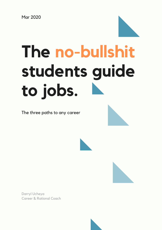

The three paths to any career





Darryl Ucheya Career & Rational Coach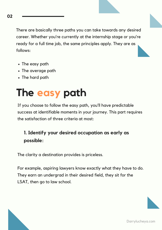There are basically three paths you can take towards any desired career. Whether you're currently at the internship stage or you're ready for a full time job, the same principles apply. They are as follows:

- The easy path
- The average path
- The hard path

# **The easy path**

If you choose to follow the easy path, you'll have predictable success at identifiable moments in your journey. This part requires the satisfaction of three criteria at most:

### **1. Identify your desired occupation as early as possible:**

The clarity a destination provides is priceless.

For example, aspiring lawyers know exactly what they have to do. They earn an undergrad in their desired field, they sit for the LSAT, then go to law school.

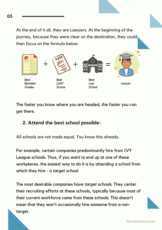At the end of it all, they are Lawyers. At the beginning of the journey, because they were clear on the destination, they could then focus on the formula below:



The faster you know where you are headed, the faster you can get there.

#### **2. Attend the best school possible:**

All schools are not made equal. You know this already.

For example, certain companies predominantly hire from IVY League schools. Thus, if you want to end up at one of these workplaces, the easiest way to do it is by attending a school from which they hire - a *target school*.

The most desirable companies have *target schools*. They center their recruiting efforts at these schools, typically because most of their current workforce came from these schools. This doesn't mean that they won't occasionally hire someone from a nontarget.

**03**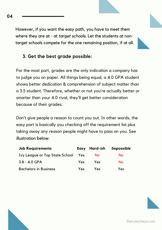However, if you want the easy path, you have to meet them where they are at - at *target schools*. Let the students at nontarget schools compete for the one remaining position, if at all.

#### **3. Get the best grade possible:**

For the most part, grades are the only indication a company has to judge you on paper. All things being equal, a 4.0 GPA student shows better dedication & comprehension of subject matter than a 3.5 student. Therefore, whether or not you're actually better or smarter than your 4.0 rival, they'll get better consideration because of their grades.

Don't give people a reason to count you out. In other words, the easy part is basically you checking off the requirement list plus taking away any reason people might have to pass on you. See illustration below:

| <b>Job Requirements</b>               |            | Easy Hard-ish | Impossible |
|---------------------------------------|------------|---------------|------------|
| <b>Ivy League or Top State School</b> | Yes        | <b>No</b>     | <b>No</b>  |
| $3.8 - 4.0$ GPA                       | <b>Yes</b> | Yes           | No         |
| <b>Bachelors in Business</b>          | <b>Yes</b> | Yes           | Yes        |

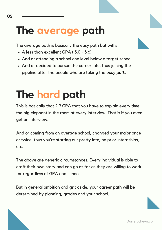### **The average path**

The average path is basically the easy path but with:

- A less than excellent GPA (3.0 3.6)
- And or attending a school one level below a target school.
- And or decided to pursue the career late, thus joining the pipeline after the people who are taking the *easy path.*

## **The hard path**

This is basically that 2.9 GPA that you have to explain every time the big elephant in the room at every interview. That is if you even get an interview.

And or coming from an average school, changed your major once or twice, thus you're starting out pretty late, no prior internships, etc.

The above are generic circumstances. Every individual is able to craft their own story and can go as far as they are willing to work for regardless of GPA and school.

But in general ambition and grit aside, your career path will be determined by planning, grades and your school.

**05**